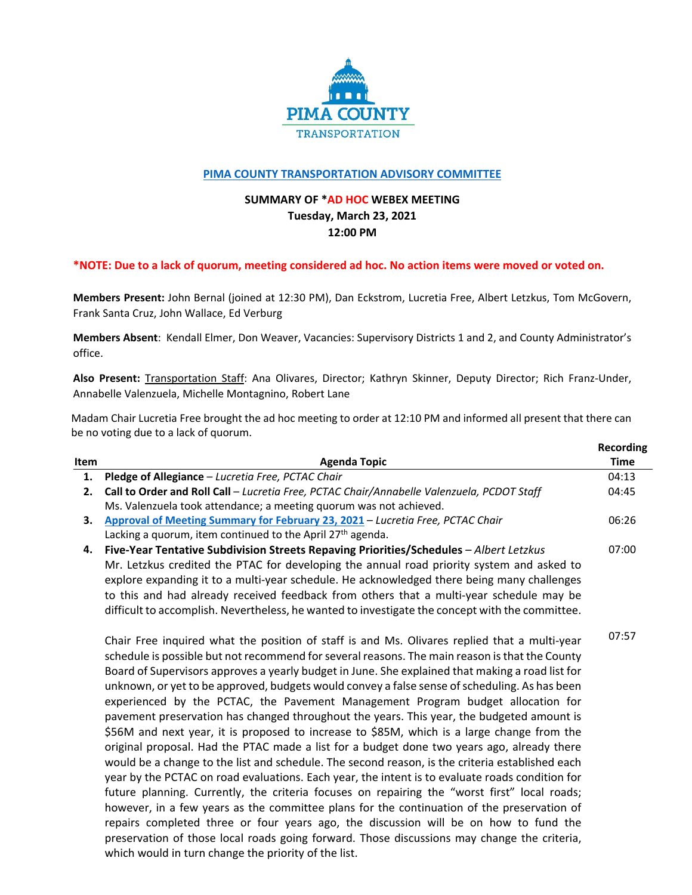

## **PIMA COUNTY TRANSPORTATION ADVISORY COMMITTEE**

## **SUMMARY OF \*AD HOC WEBEX MEETING Tuesday, March 23, 2021 12:00 PM**

## \*NOTE: Due to a lack of quorum, meeting considered ad hoc. No action items were moved or voted on.

**Members Present:** John Bernal (joined at 12:30 PM), Dan Eckstrom, Lucretia Free, Albert Letzkus, Tom McGovern, Frank Santa Cruz, John Wallace, Ed Verburg

**Members Absent**: Kendall Elmer, Don Weaver, Vacancies: Supervisory Districts 1 and 2, and County Administrator's office.

**Also Present:** Transportation Staff: Ana Olivares, Director; Kathryn Skinner, Deputy Director; Rich Franz‐Under, Annabelle Valenzuela, Michelle Montagnino, Robert Lane

Madam Chair Lucretia Free brought the ad hoc meeting to order at 12:10 PM and informed all present that there can be no voting due to a lack of quorum.

|             |                                                                                                  | <b>Recording</b> |
|-------------|--------------------------------------------------------------------------------------------------|------------------|
| <b>Item</b> | <b>Agenda Topic</b>                                                                              | <b>Time</b>      |
| 1.          | Pledge of Allegiance - Lucretia Free, PCTAC Chair                                                | 04:13            |
| 2.          | Call to Order and Roll Call - Lucretia Free, PCTAC Chair/Annabelle Valenzuela, PCDOT Staff       | 04:45            |
|             | Ms. Valenzuela took attendance; a meeting quorum was not achieved.                               |                  |
| 3.          | Approval of Meeting Summary for February 23, 2021 - Lucretia Free, PCTAC Chair                   | 06:26            |
|             | Lacking a quorum, item continued to the April 27 <sup>th</sup> agenda.                           |                  |
| 4.          | Five-Year Tentative Subdivision Streets Repaving Priorities/Schedules - Albert Letzkus           | 07:00            |
|             | Mr. Letzkus credited the PTAC for developing the annual road priority system and asked to        |                  |
|             | explore expanding it to a multi-year schedule. He acknowledged there being many challenges       |                  |
|             | to this and had already received feedback from others that a multi-year schedule may be          |                  |
|             | difficult to accomplish. Nevertheless, he wanted to investigate the concept with the committee.  |                  |
|             | Chair Free inquired what the position of staff is and Ms. Olivares replied that a multi-year     | 07:57            |
|             | schedule is possible but not recommend for several reasons. The main reason is that the County   |                  |
|             | Board of Supervisors approves a yearly budget in June. She explained that making a road list for |                  |
|             | unknown, or yet to be approved, budgets would convey a false sense of scheduling. As has been    |                  |
|             | experienced by the PCTAC, the Pavement Management Program budget allocation for                  |                  |
|             | pavement preservation has changed throughout the years. This year, the budgeted amount is        |                  |
|             | \$56M and next year, it is proposed to increase to \$85M, which is a large change from the       |                  |
|             | original proposal. Had the PTAC made a list for a budget done two years ago, already there       |                  |
|             | would be a change to the list and schedule. The second reason, is the criteria established each  |                  |
|             | year by the PCTAC on road evaluations. Each year, the intent is to evaluate roads condition for  |                  |
|             |                                                                                                  |                  |

future planning. Currently, the criteria focuses on repairing the "worst first" local roads; however, in a few years as the committee plans for the continuation of the preservation of repairs completed three or four years ago, the discussion will be on how to fund the preservation of those local roads going forward. Those discussions may change the criteria, which would in turn change the priority of the list.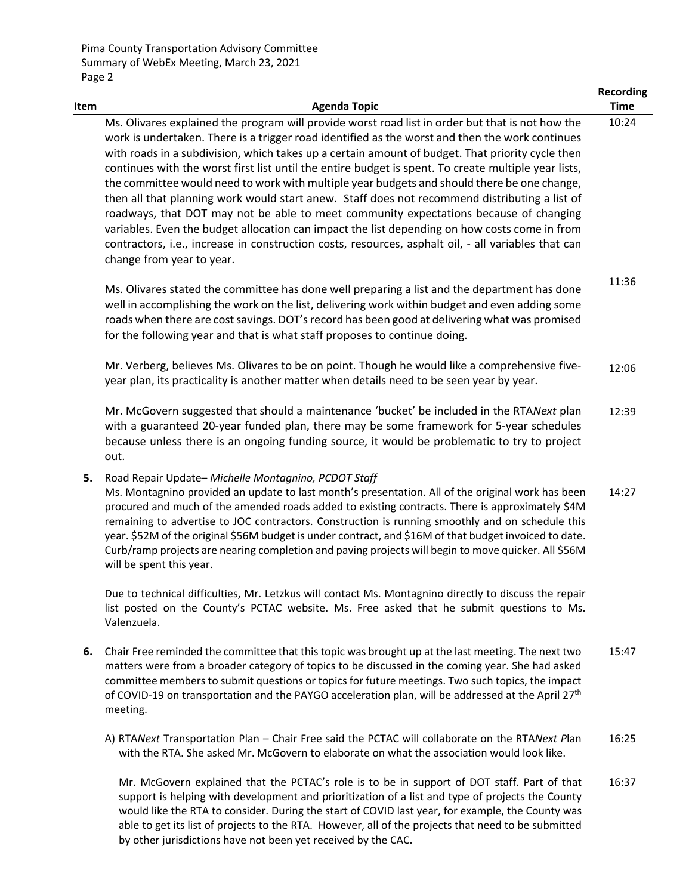Pima County Transportation Advisory Committee Summary of WebEx Meeting, March 23, 2021 Page 2

| Item | <b>Agenda Topic</b>                                                                                                                                                                                                                                                                                                                                                                                                                                                                                                                                                                                                                                                                                                                                                                                                                                                                                                                           | <b>Recording</b><br><b>Time</b> |
|------|-----------------------------------------------------------------------------------------------------------------------------------------------------------------------------------------------------------------------------------------------------------------------------------------------------------------------------------------------------------------------------------------------------------------------------------------------------------------------------------------------------------------------------------------------------------------------------------------------------------------------------------------------------------------------------------------------------------------------------------------------------------------------------------------------------------------------------------------------------------------------------------------------------------------------------------------------|---------------------------------|
|      | Ms. Olivares explained the program will provide worst road list in order but that is not how the<br>work is undertaken. There is a trigger road identified as the worst and then the work continues<br>with roads in a subdivision, which takes up a certain amount of budget. That priority cycle then<br>continues with the worst first list until the entire budget is spent. To create multiple year lists,<br>the committee would need to work with multiple year budgets and should there be one change,<br>then all that planning work would start anew. Staff does not recommend distributing a list of<br>roadways, that DOT may not be able to meet community expectations because of changing<br>variables. Even the budget allocation can impact the list depending on how costs come in from<br>contractors, i.e., increase in construction costs, resources, asphalt oil, - all variables that can<br>change from year to year. | 10:24                           |
|      | Ms. Olivares stated the committee has done well preparing a list and the department has done<br>well in accomplishing the work on the list, delivering work within budget and even adding some<br>roads when there are cost savings. DOT's record has been good at delivering what was promised<br>for the following year and that is what staff proposes to continue doing.                                                                                                                                                                                                                                                                                                                                                                                                                                                                                                                                                                  | 11:36                           |
|      | Mr. Verberg, believes Ms. Olivares to be on point. Though he would like a comprehensive five-<br>year plan, its practicality is another matter when details need to be seen year by year.                                                                                                                                                                                                                                                                                                                                                                                                                                                                                                                                                                                                                                                                                                                                                     | 12:06                           |
|      | Mr. McGovern suggested that should a maintenance 'bucket' be included in the RTANext plan<br>with a guaranteed 20-year funded plan, there may be some framework for 5-year schedules<br>because unless there is an ongoing funding source, it would be problematic to try to project<br>out.                                                                                                                                                                                                                                                                                                                                                                                                                                                                                                                                                                                                                                                  | 12:39                           |
| 5.   | Road Repair Update- Michelle Montagnino, PCDOT Staff<br>Ms. Montagnino provided an update to last month's presentation. All of the original work has been<br>procured and much of the amended roads added to existing contracts. There is approximately \$4M<br>remaining to advertise to JOC contractors. Construction is running smoothly and on schedule this<br>year. \$52M of the original \$56M budget is under contract, and \$16M of that budget invoiced to date.<br>Curb/ramp projects are nearing completion and paving projects will begin to move quicker. All \$56M<br>will be spent this year.                                                                                                                                                                                                                                                                                                                                 | 14:27                           |
|      | Due to technical difficulties, Mr. Letzkus will contact Ms. Montagnino directly to discuss the repair<br>list posted on the County's PCTAC website. Ms. Free asked that he submit questions to Ms.<br>Valenzuela.                                                                                                                                                                                                                                                                                                                                                                                                                                                                                                                                                                                                                                                                                                                             |                                 |
| 6.   | Chair Free reminded the committee that this topic was brought up at the last meeting. The next two<br>matters were from a broader category of topics to be discussed in the coming year. She had asked<br>committee members to submit questions or topics for future meetings. Two such topics, the impact<br>of COVID-19 on transportation and the PAYGO acceleration plan, will be addressed at the April 27 <sup>th</sup><br>meeting.                                                                                                                                                                                                                                                                                                                                                                                                                                                                                                      | 15:47                           |
|      | A) RTANext Transportation Plan - Chair Free said the PCTAC will collaborate on the RTANext Plan<br>with the RTA. She asked Mr. McGovern to elaborate on what the association would look like.                                                                                                                                                                                                                                                                                                                                                                                                                                                                                                                                                                                                                                                                                                                                                 | 16:25                           |

Mr. McGovern explained that the PCTAC's role is to be in support of DOT staff. Part of that support is helping with development and prioritization of a list and type of projects the County would like the RTA to consider. During the start of COVID last year, for example, the County was able to get its list of projects to the RTA. However, all of the projects that need to be submitted by other jurisdictions have not been yet received by the CAC. 16:37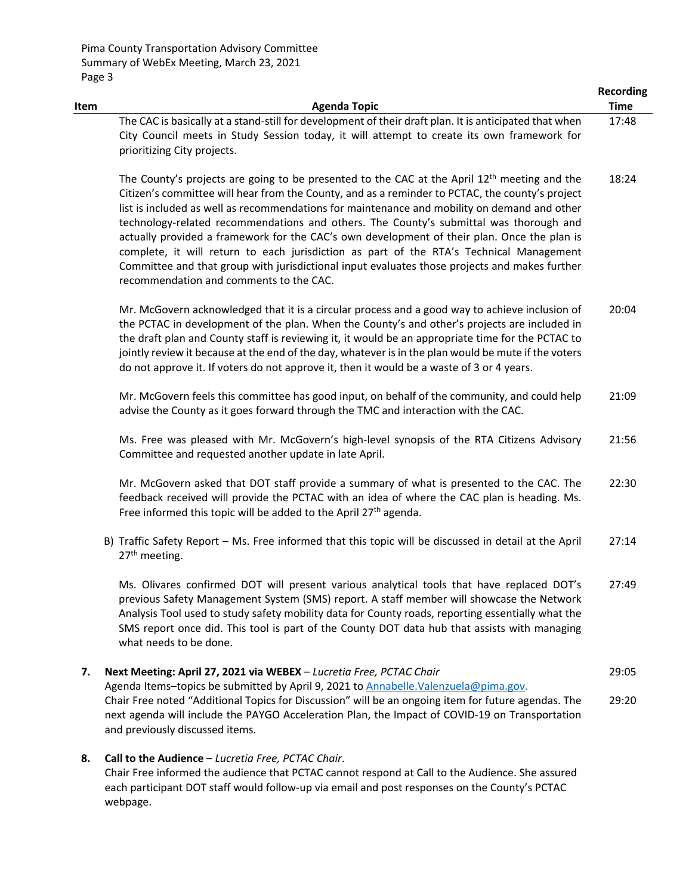webpage.

| Item | <b>Agenda Topic</b>                                                                                                                                                                                                                                                                                                                                                                                                                                                                                                                                                                                                                                                                                                                         | <b>Recording</b><br><b>Time</b> |
|------|---------------------------------------------------------------------------------------------------------------------------------------------------------------------------------------------------------------------------------------------------------------------------------------------------------------------------------------------------------------------------------------------------------------------------------------------------------------------------------------------------------------------------------------------------------------------------------------------------------------------------------------------------------------------------------------------------------------------------------------------|---------------------------------|
|      | The CAC is basically at a stand-still for development of their draft plan. It is anticipated that when<br>City Council meets in Study Session today, it will attempt to create its own framework for<br>prioritizing City projects.                                                                                                                                                                                                                                                                                                                                                                                                                                                                                                         | 17:48                           |
|      | The County's projects are going to be presented to the CAC at the April 12 <sup>th</sup> meeting and the<br>Citizen's committee will hear from the County, and as a reminder to PCTAC, the county's project<br>list is included as well as recommendations for maintenance and mobility on demand and other<br>technology-related recommendations and others. The County's submittal was thorough and<br>actually provided a framework for the CAC's own development of their plan. Once the plan is<br>complete, it will return to each jurisdiction as part of the RTA's Technical Management<br>Committee and that group with jurisdictional input evaluates those projects and makes further<br>recommendation and comments to the CAC. | 18:24                           |
|      | Mr. McGovern acknowledged that it is a circular process and a good way to achieve inclusion of<br>the PCTAC in development of the plan. When the County's and other's projects are included in<br>the draft plan and County staff is reviewing it, it would be an appropriate time for the PCTAC to<br>jointly review it because at the end of the day, whatever is in the plan would be mute if the voters<br>do not approve it. If voters do not approve it, then it would be a waste of 3 or 4 years.                                                                                                                                                                                                                                    | 20:04                           |
|      | Mr. McGovern feels this committee has good input, on behalf of the community, and could help<br>advise the County as it goes forward through the TMC and interaction with the CAC.                                                                                                                                                                                                                                                                                                                                                                                                                                                                                                                                                          | 21:09                           |
|      | Ms. Free was pleased with Mr. McGovern's high-level synopsis of the RTA Citizens Advisory<br>Committee and requested another update in late April.                                                                                                                                                                                                                                                                                                                                                                                                                                                                                                                                                                                          | 21:56                           |
|      | Mr. McGovern asked that DOT staff provide a summary of what is presented to the CAC. The<br>feedback received will provide the PCTAC with an idea of where the CAC plan is heading. Ms.<br>Free informed this topic will be added to the April 27th agenda.                                                                                                                                                                                                                                                                                                                                                                                                                                                                                 | 22:30                           |
|      | B) Traffic Safety Report - Ms. Free informed that this topic will be discussed in detail at the April<br>27 <sup>th</sup> meeting.                                                                                                                                                                                                                                                                                                                                                                                                                                                                                                                                                                                                          | 27:14                           |
|      | Ms. Olivares confirmed DOT will present various analytical tools that have replaced DOT's<br>previous Safety Management System (SMS) report. A staff member will showcase the Network<br>Analysis Tool used to study safety mobility data for County roads, reporting essentially what the<br>SMS report once did. This tool is part of the County DOT data hub that assists with managing<br>what needs to be done.                                                                                                                                                                                                                                                                                                                        | 27:49                           |
| 7.   | Next Meeting: April 27, 2021 via WEBEX - Lucretia Free, PCTAC Chair                                                                                                                                                                                                                                                                                                                                                                                                                                                                                                                                                                                                                                                                         | 29:05                           |
|      | Agenda Items-topics be submitted by April 9, 2021 to Annabelle.Valenzuela@pima.gov.<br>Chair Free noted "Additional Topics for Discussion" will be an ongoing item for future agendas. The<br>next agenda will include the PAYGO Acceleration Plan, the Impact of COVID-19 on Transportation<br>and previously discussed items.                                                                                                                                                                                                                                                                                                                                                                                                             | 29:20                           |
| 8.   | Call to the Audience - Lucretia Free, PCTAC Chair.<br>Chair Free informed the audience that PCTAC cannot respond at Call to the Audience. She assured<br>each participant DOT staff would follow-up via email and post responses on the County's PCTAC                                                                                                                                                                                                                                                                                                                                                                                                                                                                                      |                                 |